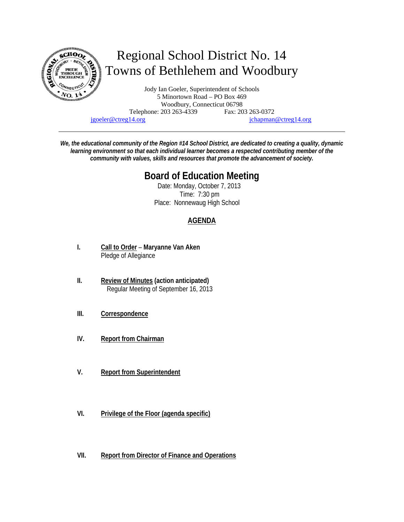

jgoeler@ctreg14.org jchapman@ctreg14.org

*We, the educational community of the Region #14 School District, are dedicated to creating a quality, dynamic learning environment so that each individual learner becomes a respected contributing member of the community with values, skills and resources that promote the advancement of society.* 

# **Board of Education Meeting**

 Date: Monday, October 7, 2013 Time: 7:30 pm Place: Nonnewaug High School

## **AGENDA**

- **I. Call to Order Maryanne Van Aken** Pledge of Allegiance
- **II. Review of Minutes (action anticipated)** Regular Meeting of September 16, 2013
- **III. Correspondence**
- **IV. Report from Chairman**
- **V. Report from Superintendent**
- **VI. Privilege of the Floor (agenda specific)**
- **VII. Report from Director of Finance and Operations**